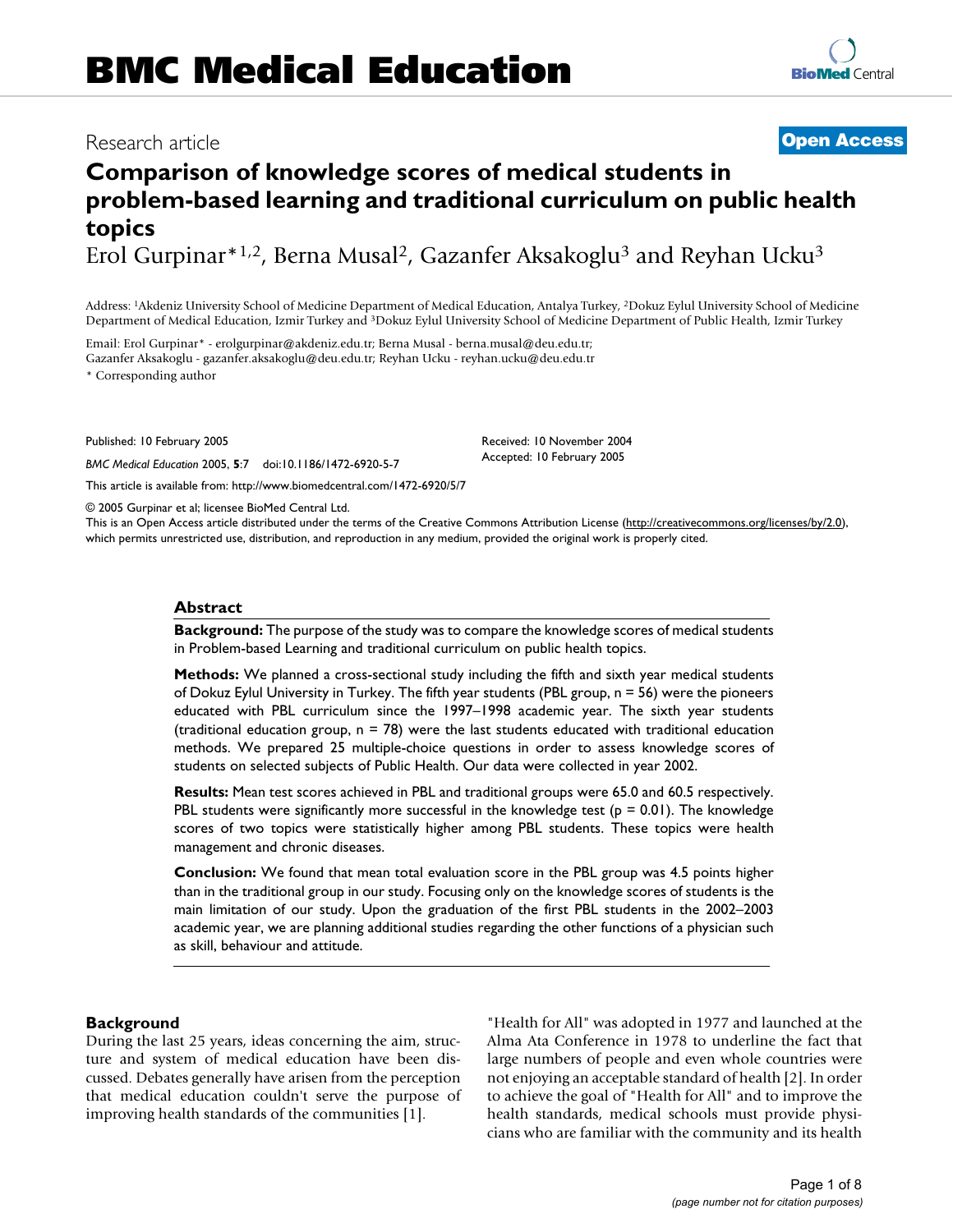# Research article **[Open Access](http://www.biomedcentral.com/info/about/charter/)**

# **Comparison of knowledge scores of medical students in problem-based learning and traditional curriculum on public health topics**

Erol Gurpinar<sup>\*1,2</sup>, Berna Musal<sup>2</sup>, Gazanfer Aksakoglu<sup>3</sup> and Reyhan Ucku<sup>3</sup>

Address: 1Akdeniz University School of Medicine Department of Medical Education, Antalya Turkey, 2Dokuz Eylul University School of Medicine Department of Medical Education, Izmir Turkey and 3Dokuz Eylul University School of Medicine Department of Public Health, Izmir Turkey

Email: Erol Gurpinar\* - erolgurpinar@akdeniz.edu.tr; Berna Musal - berna.musal@deu.edu.tr; Gazanfer Aksakoglu - gazanfer.aksakoglu@deu.edu.tr; Reyhan Ucku - reyhan.ucku@deu.edu.tr

\* Corresponding author

Published: 10 February 2005

*BMC Medical Education* 2005, **5**:7 doi:10.1186/1472-6920-5-7

[This article is available from: http://www.biomedcentral.com/1472-6920/5/7](http://www.biomedcentral.com/1472-6920/5/7)

© 2005 Gurpinar et al; licensee BioMed Central Ltd.

This is an Open Access article distributed under the terms of the Creative Commons Attribution License [\(http://creativecommons.org/licenses/by/2.0\)](http://creativecommons.org/licenses/by/2.0), which permits unrestricted use, distribution, and reproduction in any medium, provided the original work is properly cited.

#### **Abstract**

**Background:** The purpose of the study was to compare the knowledge scores of medical students in Problem-based Learning and traditional curriculum on public health topics.

**Methods:** We planned a cross-sectional study including the fifth and sixth year medical students of Dokuz Eylul University in Turkey. The fifth year students (PBL group, n = 56) were the pioneers educated with PBL curriculum since the 1997–1998 academic year. The sixth year students (traditional education group,  $n = 78$ ) were the last students educated with traditional education methods. We prepared 25 multiple-choice questions in order to assess knowledge scores of students on selected subjects of Public Health. Our data were collected in year 2002.

**Results:** Mean test scores achieved in PBL and traditional groups were 65.0 and 60.5 respectively. PBL students were significantly more successful in the knowledge test ( $p = 0.01$ ). The knowledge scores of two topics were statistically higher among PBL students. These topics were health management and chronic diseases.

**Conclusion:** We found that mean total evaluation score in the PBL group was 4.5 points higher than in the traditional group in our study. Focusing only on the knowledge scores of students is the main limitation of our study. Upon the graduation of the first PBL students in the 2002–2003 academic year, we are planning additional studies regarding the other functions of a physician such as skill, behaviour and attitude.

### **Background**

During the last 25 years, ideas concerning the aim, structure and system of medical education have been discussed. Debates generally have arisen from the perception that medical education couldn't serve the purpose of improving health standards of the communities [1].

"Health for All" was adopted in 1977 and launched at the Alma Ata Conference in 1978 to underline the fact that large numbers of people and even whole countries were not enjoying an acceptable standard of health [2]. In order to achieve the goal of "Health for All" and to improve the health standards, medical schools must provide physicians who are familiar with the community and its health

Received: 10 November 2004 Accepted: 10 February 2005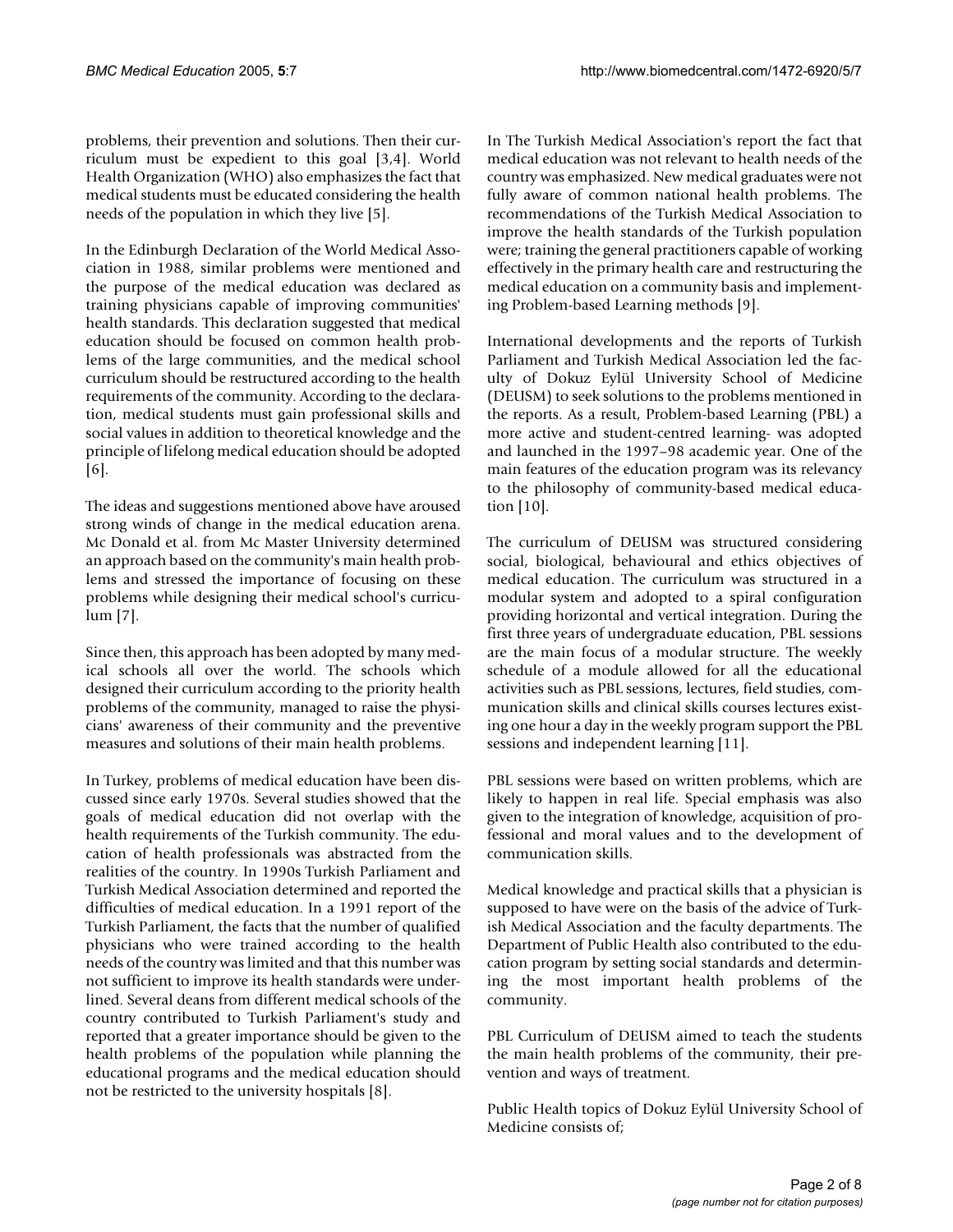problems, their prevention and solutions. Then their curriculum must be expedient to this goal [3,4]. World Health Organization (WHO) also emphasizes the fact that medical students must be educated considering the health needs of the population in which they live [5].

In the Edinburgh Declaration of the World Medical Association in 1988, similar problems were mentioned and the purpose of the medical education was declared as training physicians capable of improving communities' health standards. This declaration suggested that medical education should be focused on common health problems of the large communities, and the medical school curriculum should be restructured according to the health requirements of the community. According to the declaration, medical students must gain professional skills and social values in addition to theoretical knowledge and the principle of lifelong medical education should be adopted [6].

The ideas and suggestions mentioned above have aroused strong winds of change in the medical education arena. Mc Donald et al. from Mc Master University determined an approach based on the community's main health problems and stressed the importance of focusing on these problems while designing their medical school's curriculum [7].

Since then, this approach has been adopted by many medical schools all over the world. The schools which designed their curriculum according to the priority health problems of the community, managed to raise the physicians' awareness of their community and the preventive measures and solutions of their main health problems.

In Turkey, problems of medical education have been discussed since early 1970s. Several studies showed that the goals of medical education did not overlap with the health requirements of the Turkish community. The education of health professionals was abstracted from the realities of the country. In 1990s Turkish Parliament and Turkish Medical Association determined and reported the difficulties of medical education. In a 1991 report of the Turkish Parliament, the facts that the number of qualified physicians who were trained according to the health needs of the country was limited and that this number was not sufficient to improve its health standards were underlined. Several deans from different medical schools of the country contributed to Turkish Parliament's study and reported that a greater importance should be given to the health problems of the population while planning the educational programs and the medical education should not be restricted to the university hospitals [8].

In The Turkish Medical Association's report the fact that medical education was not relevant to health needs of the country was emphasized. New medical graduates were not fully aware of common national health problems. The recommendations of the Turkish Medical Association to improve the health standards of the Turkish population were; training the general practitioners capable of working effectively in the primary health care and restructuring the medical education on a community basis and implementing Problem-based Learning methods [9].

International developments and the reports of Turkish Parliament and Turkish Medical Association led the faculty of Dokuz Eylül University School of Medicine (DEUSM) to seek solutions to the problems mentioned in the reports. As a result, Problem-based Learning (PBL) a more active and student-centred learning- was adopted and launched in the 1997–98 academic year. One of the main features of the education program was its relevancy to the philosophy of community-based medical education [10].

The curriculum of DEUSM was structured considering social, biological, behavioural and ethics objectives of medical education. The curriculum was structured in a modular system and adopted to a spiral configuration providing horizontal and vertical integration. During the first three years of undergraduate education, PBL sessions are the main focus of a modular structure. The weekly schedule of a module allowed for all the educational activities such as PBL sessions, lectures, field studies, communication skills and clinical skills courses lectures existing one hour a day in the weekly program support the PBL sessions and independent learning [11].

PBL sessions were based on written problems, which are likely to happen in real life. Special emphasis was also given to the integration of knowledge, acquisition of professional and moral values and to the development of communication skills.

Medical knowledge and practical skills that a physician is supposed to have were on the basis of the advice of Turkish Medical Association and the faculty departments. The Department of Public Health also contributed to the education program by setting social standards and determining the most important health problems of the community.

PBL Curriculum of DEUSM aimed to teach the students the main health problems of the community, their prevention and ways of treatment.

Public Health topics of Dokuz Eylül University School of Medicine consists of;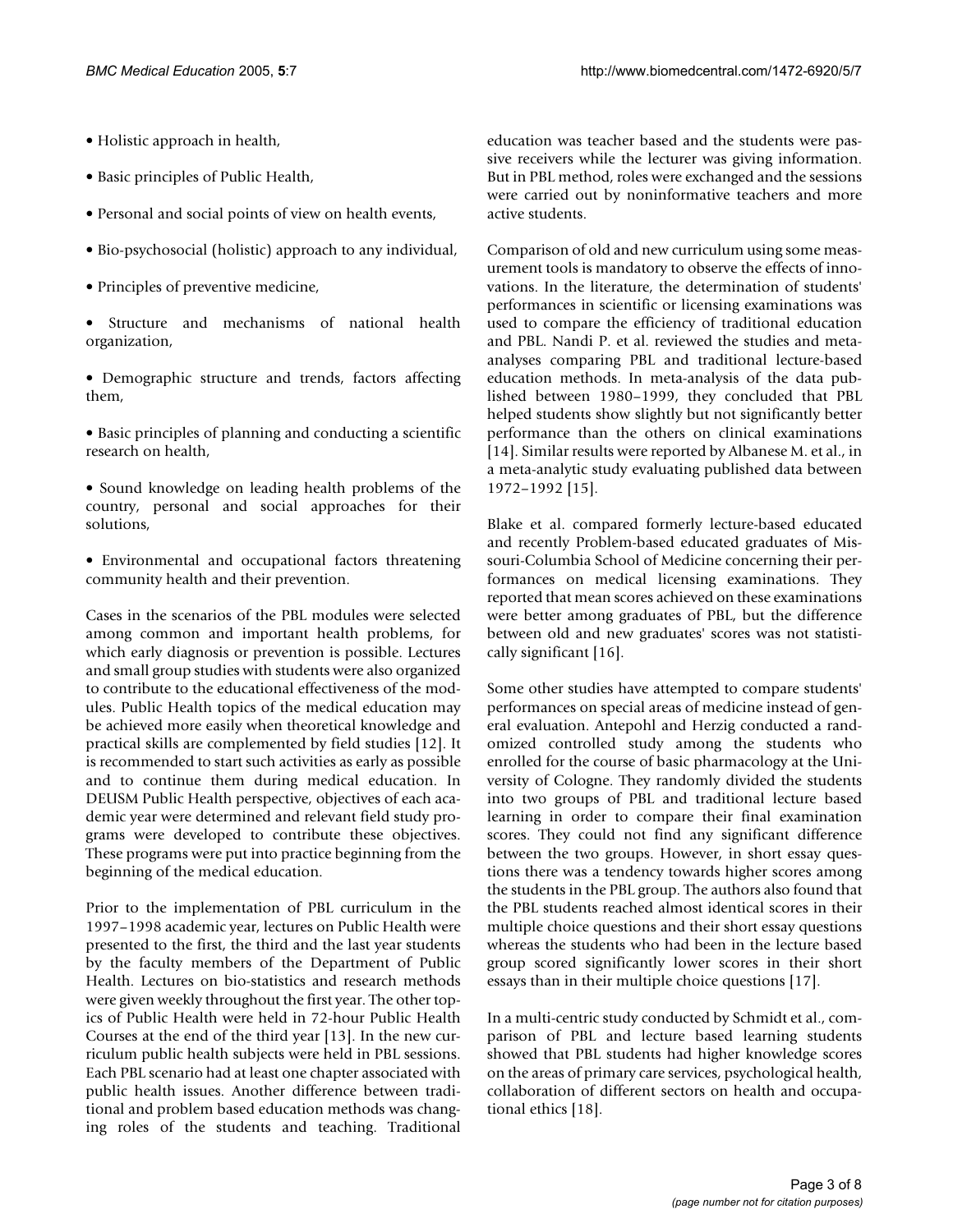- Holistic approach in health,
- Basic principles of Public Health,
- Personal and social points of view on health events,
- Bio-psychosocial (holistic) approach to any individual,
- Principles of preventive medicine,
- Structure and mechanisms of national health organization,
- Demographic structure and trends, factors affecting them,
- Basic principles of planning and conducting a scientific research on health,
- Sound knowledge on leading health problems of the country, personal and social approaches for their solutions,
- Environmental and occupational factors threatening community health and their prevention.

Cases in the scenarios of the PBL modules were selected among common and important health problems, for which early diagnosis or prevention is possible. Lectures and small group studies with students were also organized to contribute to the educational effectiveness of the modules. Public Health topics of the medical education may be achieved more easily when theoretical knowledge and practical skills are complemented by field studies [12]. It is recommended to start such activities as early as possible and to continue them during medical education. In DEUSM Public Health perspective, objectives of each academic year were determined and relevant field study programs were developed to contribute these objectives. These programs were put into practice beginning from the beginning of the medical education.

Prior to the implementation of PBL curriculum in the 1997–1998 academic year, lectures on Public Health were presented to the first, the third and the last year students by the faculty members of the Department of Public Health. Lectures on bio-statistics and research methods were given weekly throughout the first year. The other topics of Public Health were held in 72-hour Public Health Courses at the end of the third year [13]. In the new curriculum public health subjects were held in PBL sessions. Each PBL scenario had at least one chapter associated with public health issues. Another difference between traditional and problem based education methods was changing roles of the students and teaching. Traditional

education was teacher based and the students were passive receivers while the lecturer was giving information. But in PBL method, roles were exchanged and the sessions were carried out by noninformative teachers and more active students.

Comparison of old and new curriculum using some measurement tools is mandatory to observe the effects of innovations. In the literature, the determination of students' performances in scientific or licensing examinations was used to compare the efficiency of traditional education and PBL. Nandi P. et al. reviewed the studies and metaanalyses comparing PBL and traditional lecture-based education methods. In meta-analysis of the data published between 1980–1999, they concluded that PBL helped students show slightly but not significantly better performance than the others on clinical examinations [14]. Similar results were reported by Albanese M. et al., in a meta-analytic study evaluating published data between 1972–1992 [15].

Blake et al. compared formerly lecture-based educated and recently Problem-based educated graduates of Missouri-Columbia School of Medicine concerning their performances on medical licensing examinations. They reported that mean scores achieved on these examinations were better among graduates of PBL, but the difference between old and new graduates' scores was not statistically significant [16].

Some other studies have attempted to compare students' performances on special areas of medicine instead of general evaluation. Antepohl and Herzig conducted a randomized controlled study among the students who enrolled for the course of basic pharmacology at the University of Cologne. They randomly divided the students into two groups of PBL and traditional lecture based learning in order to compare their final examination scores. They could not find any significant difference between the two groups. However, in short essay questions there was a tendency towards higher scores among the students in the PBL group. The authors also found that the PBL students reached almost identical scores in their multiple choice questions and their short essay questions whereas the students who had been in the lecture based group scored significantly lower scores in their short essays than in their multiple choice questions [17].

In a multi-centric study conducted by Schmidt et al., comparison of PBL and lecture based learning students showed that PBL students had higher knowledge scores on the areas of primary care services, psychological health, collaboration of different sectors on health and occupational ethics [18].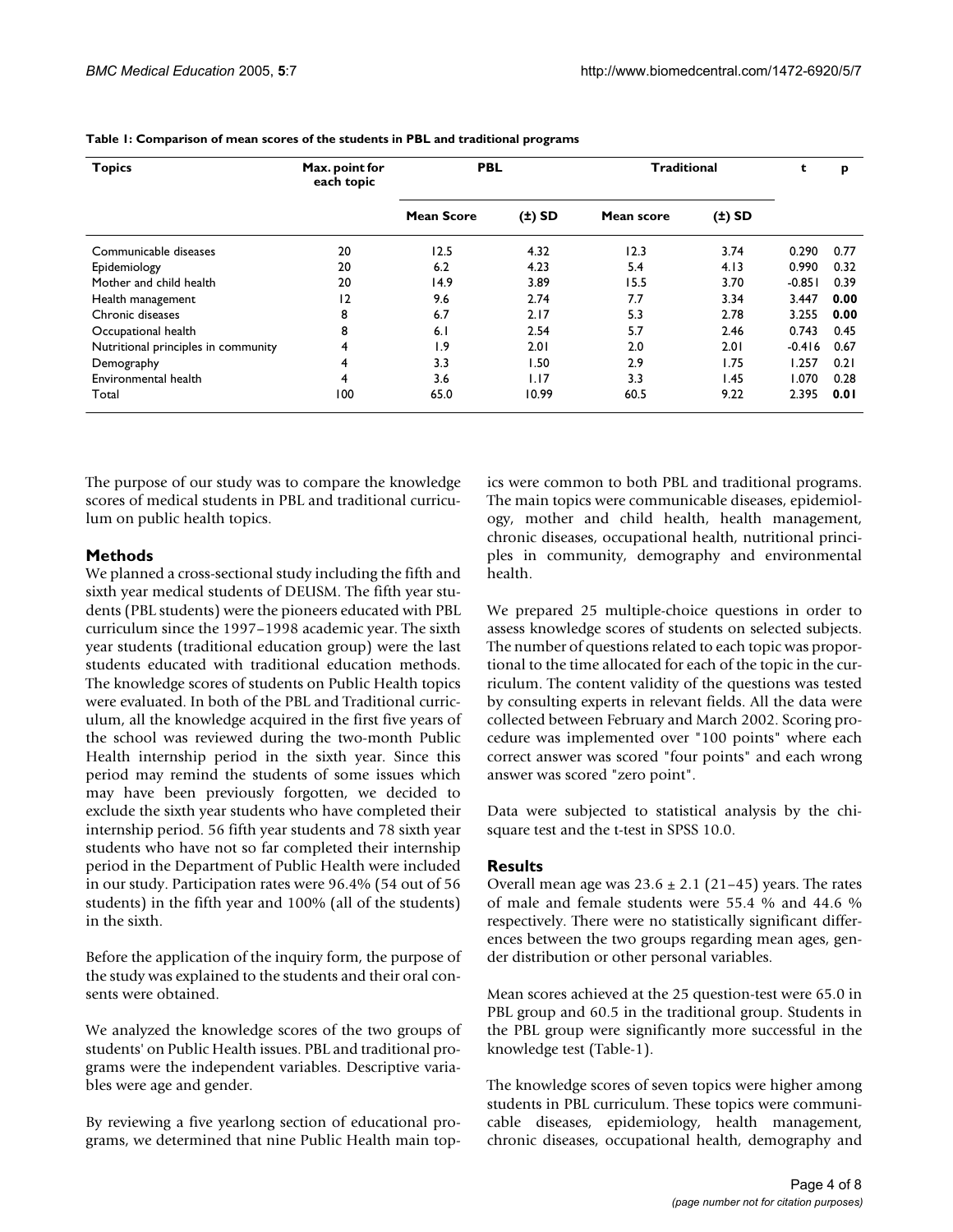| <b>Topics</b>                       | Max. point for<br>each topic | <b>PBL</b>        |            | <b>Traditional</b> |            | t        | p    |
|-------------------------------------|------------------------------|-------------------|------------|--------------------|------------|----------|------|
|                                     |                              | <b>Mean Score</b> | $(\pm)$ SD | Mean score         | $(\pm)$ SD |          |      |
| Communicable diseases               | 20                           | 12.5              | 4.32       | 12.3               | 3.74       | 0.290    | 0.77 |
| Epidemiology                        | 20                           | 6.2               | 4.23       | 5.4                | 4.13       | 0.990    | 0.32 |
| Mother and child health             | 20                           | 14.9              | 3.89       | 15.5               | 3.70       | $-0.851$ | 0.39 |
| Health management                   | 2                            | 9.6               | 2.74       | 7.7                | 3.34       | 3.447    | 0.00 |
| Chronic diseases                    | 8                            | 6.7               | 2.17       | 5.3                | 2.78       | 3.255    | 0.00 |
| Occupational health                 | 8                            | 6.1               | 2.54       | 5.7                | 2.46       | 0.743    | 0.45 |
| Nutritional principles in community | 4                            | 1.9               | 2.01       | 2.0                | 2.01       | $-0.416$ | 0.67 |
| Demography                          | 4                            | 3.3               | 1.50       | 2.9                | 1.75       | 1.257    | 0.21 |
| Environmental health                | 4                            | 3.6               | 1.17       | 3.3                | 1.45       | 1.070    | 0.28 |
| Total                               | 100                          | 65.0              | 10.99      | 60.5               | 9.22       | 2.395    | 0.01 |

<span id="page-3-0"></span>**Table 1: Comparison of mean scores of the students in PBL and traditional programs**

The purpose of our study was to compare the knowledge scores of medical students in PBL and traditional curriculum on public health topics.

# **Methods**

We planned a cross-sectional study including the fifth and sixth year medical students of DEUSM. The fifth year students (PBL students) were the pioneers educated with PBL curriculum since the 1997–1998 academic year. The sixth year students (traditional education group) were the last students educated with traditional education methods. The knowledge scores of students on Public Health topics were evaluated. In both of the PBL and Traditional curriculum, all the knowledge acquired in the first five years of the school was reviewed during the two-month Public Health internship period in the sixth year. Since this period may remind the students of some issues which may have been previously forgotten, we decided to exclude the sixth year students who have completed their internship period. 56 fifth year students and 78 sixth year students who have not so far completed their internship period in the Department of Public Health were included in our study. Participation rates were 96.4% (54 out of 56 students) in the fifth year and 100% (all of the students) in the sixth.

Before the application of the inquiry form, the purpose of the study was explained to the students and their oral consents were obtained.

We analyzed the knowledge scores of the two groups of students' on Public Health issues. PBL and traditional programs were the independent variables. Descriptive variables were age and gender.

By reviewing a five yearlong section of educational programs, we determined that nine Public Health main topics were common to both PBL and traditional programs. The main topics were communicable diseases, epidemiology, mother and child health, health management, chronic diseases, occupational health, nutritional principles in community, demography and environmental health.

We prepared 25 multiple-choice questions in order to assess knowledge scores of students on selected subjects. The number of questions related to each topic was proportional to the time allocated for each of the topic in the curriculum. The content validity of the questions was tested by consulting experts in relevant fields. All the data were collected between February and March 2002. Scoring procedure was implemented over "100 points" where each correct answer was scored "four points" and each wrong answer was scored "zero point".

Data were subjected to statistical analysis by the chisquare test and the t-test in SPSS 10.0.

# **Results**

Overall mean age was  $23.6 \pm 2.1$  (21–45) years. The rates of male and female students were 55.4 % and 44.6 % respectively. There were no statistically significant differences between the two groups regarding mean ages, gender distribution or other personal variables.

Mean scores achieved at the 25 question-test were 65.0 in PBL group and 60.5 in the traditional group. Students in the PBL group were significantly more successful in the knowledge test (Table[-1\)](#page-3-0).

The knowledge scores of seven topics were higher among students in PBL curriculum. These topics were communicable diseases, epidemiology, health management, chronic diseases, occupational health, demography and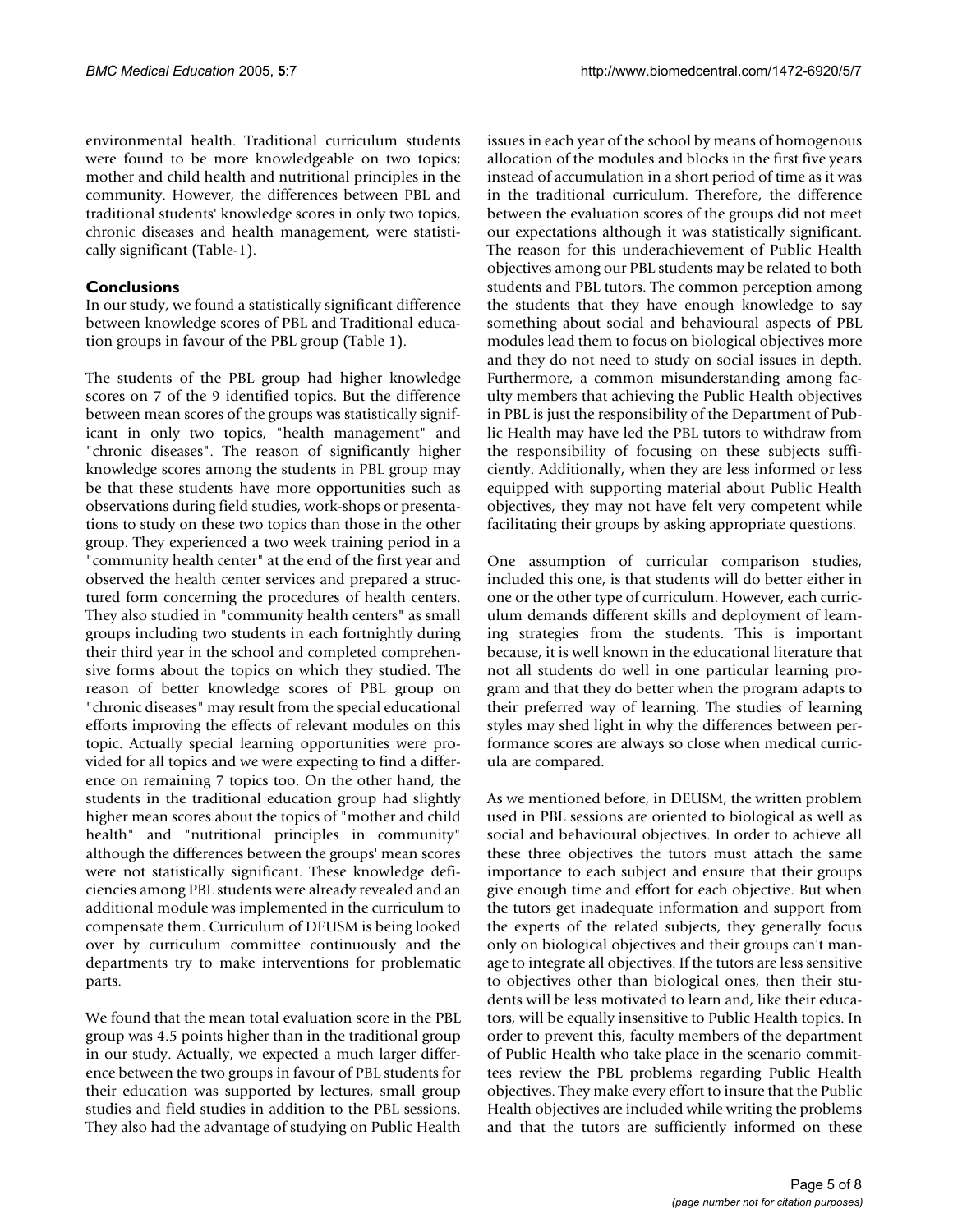environmental health. Traditional curriculum students were found to be more knowledgeable on two topics; mother and child health and nutritional principles in the community. However, the differences between PBL and traditional students' knowledge scores in only two topics, chronic diseases and health management, were statistically significant (Table[-1](#page-3-0)).

## **Conclusions**

In our study, we found a statistically significant difference between knowledge scores of PBL and Traditional education groups in favour of the PBL group (Table [1](#page-3-0)).

The students of the PBL group had higher knowledge scores on 7 of the 9 identified topics. But the difference between mean scores of the groups was statistically significant in only two topics, "health management" and "chronic diseases". The reason of significantly higher knowledge scores among the students in PBL group may be that these students have more opportunities such as observations during field studies, work-shops or presentations to study on these two topics than those in the other group. They experienced a two week training period in a "community health center" at the end of the first year and observed the health center services and prepared a structured form concerning the procedures of health centers. They also studied in "community health centers" as small groups including two students in each fortnightly during their third year in the school and completed comprehensive forms about the topics on which they studied. The reason of better knowledge scores of PBL group on "chronic diseases" may result from the special educational efforts improving the effects of relevant modules on this topic. Actually special learning opportunities were provided for all topics and we were expecting to find a difference on remaining 7 topics too. On the other hand, the students in the traditional education group had slightly higher mean scores about the topics of "mother and child health" and "nutritional principles in community" although the differences between the groups' mean scores were not statistically significant. These knowledge deficiencies among PBL students were already revealed and an additional module was implemented in the curriculum to compensate them. Curriculum of DEUSM is being looked over by curriculum committee continuously and the departments try to make interventions for problematic parts.

We found that the mean total evaluation score in the PBL group was 4.5 points higher than in the traditional group in our study. Actually, we expected a much larger difference between the two groups in favour of PBL students for their education was supported by lectures, small group studies and field studies in addition to the PBL sessions. They also had the advantage of studying on Public Health

issues in each year of the school by means of homogenous allocation of the modules and blocks in the first five years instead of accumulation in a short period of time as it was in the traditional curriculum. Therefore, the difference between the evaluation scores of the groups did not meet our expectations although it was statistically significant. The reason for this underachievement of Public Health objectives among our PBL students may be related to both students and PBL tutors. The common perception among the students that they have enough knowledge to say something about social and behavioural aspects of PBL modules lead them to focus on biological objectives more and they do not need to study on social issues in depth. Furthermore, a common misunderstanding among faculty members that achieving the Public Health objectives in PBL is just the responsibility of the Department of Public Health may have led the PBL tutors to withdraw from the responsibility of focusing on these subjects sufficiently. Additionally, when they are less informed or less equipped with supporting material about Public Health objectives, they may not have felt very competent while facilitating their groups by asking appropriate questions.

One assumption of curricular comparison studies, included this one, is that students will do better either in one or the other type of curriculum. However, each curriculum demands different skills and deployment of learning strategies from the students. This is important because, it is well known in the educational literature that not all students do well in one particular learning program and that they do better when the program adapts to their preferred way of learning. The studies of learning styles may shed light in why the differences between performance scores are always so close when medical curricula are compared.

As we mentioned before, in DEUSM, the written problem used in PBL sessions are oriented to biological as well as social and behavioural objectives. In order to achieve all these three objectives the tutors must attach the same importance to each subject and ensure that their groups give enough time and effort for each objective. But when the tutors get inadequate information and support from the experts of the related subjects, they generally focus only on biological objectives and their groups can't manage to integrate all objectives. If the tutors are less sensitive to objectives other than biological ones, then their students will be less motivated to learn and, like their educators, will be equally insensitive to Public Health topics. In order to prevent this, faculty members of the department of Public Health who take place in the scenario committees review the PBL problems regarding Public Health objectives. They make every effort to insure that the Public Health objectives are included while writing the problems and that the tutors are sufficiently informed on these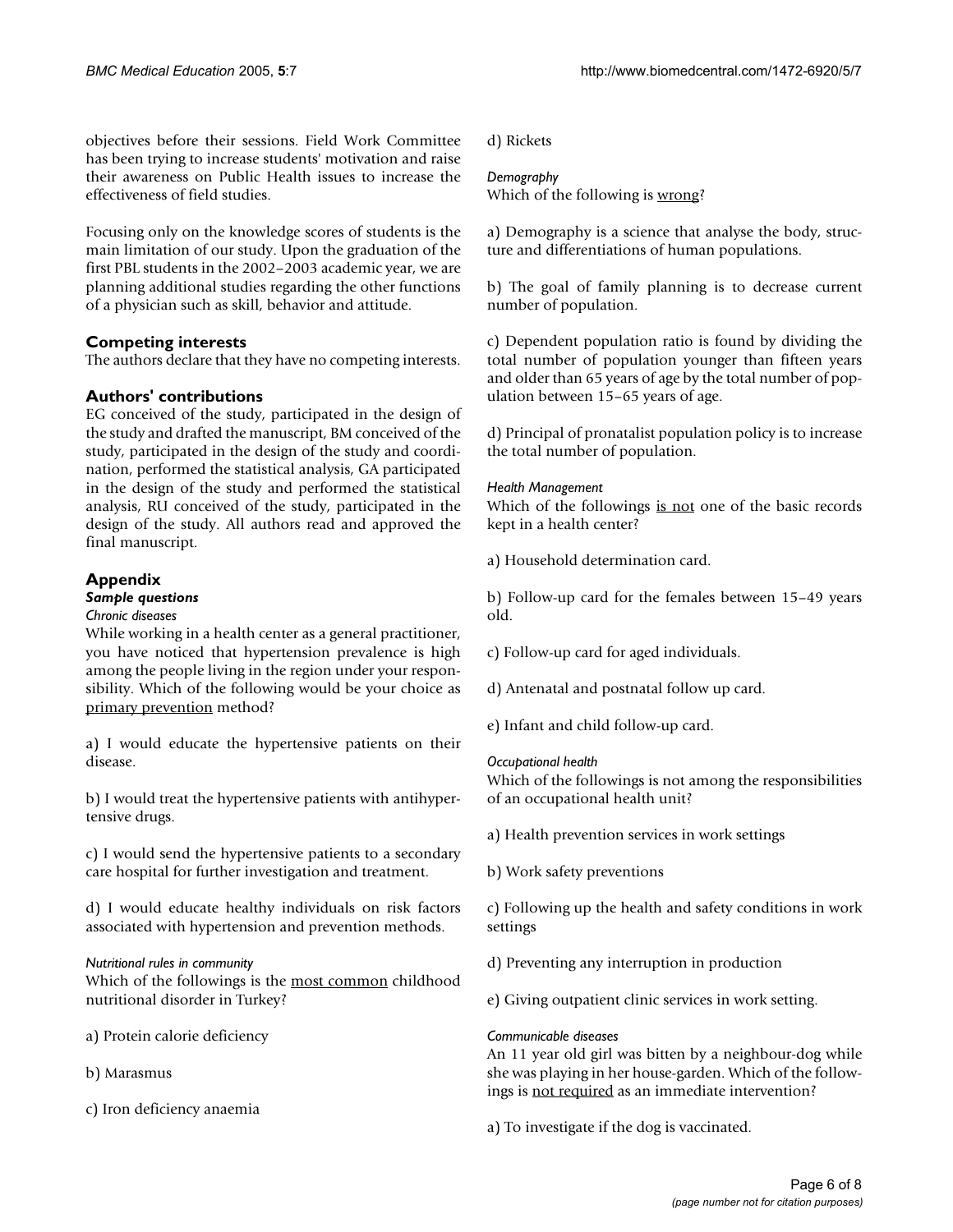objectives before their sessions. Field Work Committee has been trying to increase students' motivation and raise their awareness on Public Health issues to increase the effectiveness of field studies.

Focusing only on the knowledge scores of students is the main limitation of our study. Upon the graduation of the first PBL students in the 2002–2003 academic year, we are planning additional studies regarding the other functions of a physician such as skill, behavior and attitude.

### **Competing interests**

The authors declare that they have no competing interests.

### **Authors' contributions**

EG conceived of the study, participated in the design of the study and drafted the manuscript, BM conceived of the study, participated in the design of the study and coordination, performed the statistical analysis, GA participated in the design of the study and performed the statistical analysis, RU conceived of the study, participated in the design of the study. All authors read and approved the final manuscript.

# **Appendix**

#### *Sample questions*

*Chronic diseases*

While working in a health center as a general practitioner, you have noticed that hypertension prevalence is high among the people living in the region under your responsibility. Which of the following would be your choice as primary prevention method?

a) I would educate the hypertensive patients on their disease.

b) I would treat the hypertensive patients with antihypertensive drugs.

c) I would send the hypertensive patients to a secondary care hospital for further investigation and treatment.

d) I would educate healthy individuals on risk factors associated with hypertension and prevention methods.

#### *Nutritional rules in community*

Which of the followings is the most common childhood nutritional disorder in Turkey?

- a) Protein calorie deficiency
- b) Marasmus
- c) Iron deficiency anaemia

d) Rickets

#### *Demography*

Which of the following is wrong?

a) Demography is a science that analyse the body, structure and differentiations of human populations.

b) The goal of family planning is to decrease current number of population.

c) Dependent population ratio is found by dividing the total number of population younger than fifteen years and older than 65 years of age by the total number of population between 15–65 years of age.

d) Principal of pronatalist population policy is to increase the total number of population.

#### *Health Management*

Which of the followings is not one of the basic records kept in a health center?

a) Household determination card.

b) Follow-up card for the females between 15–49 years old.

- c) Follow-up card for aged individuals.
- d) Antenatal and postnatal follow up card.
- e) Infant and child follow-up card.

#### *Occupational health*

Which of the followings is not among the responsibilities of an occupational health unit?

- a) Health prevention services in work settings
- b) Work safety preventions

c) Following up the health and safety conditions in work settings

- d) Preventing any interruption in production
- e) Giving outpatient clinic services in work setting.

#### *Communicable diseases*

An 11 year old girl was bitten by a neighbour-dog while she was playing in her house-garden. Which of the followings is not required as an immediate intervention?

a) To investigate if the dog is vaccinated.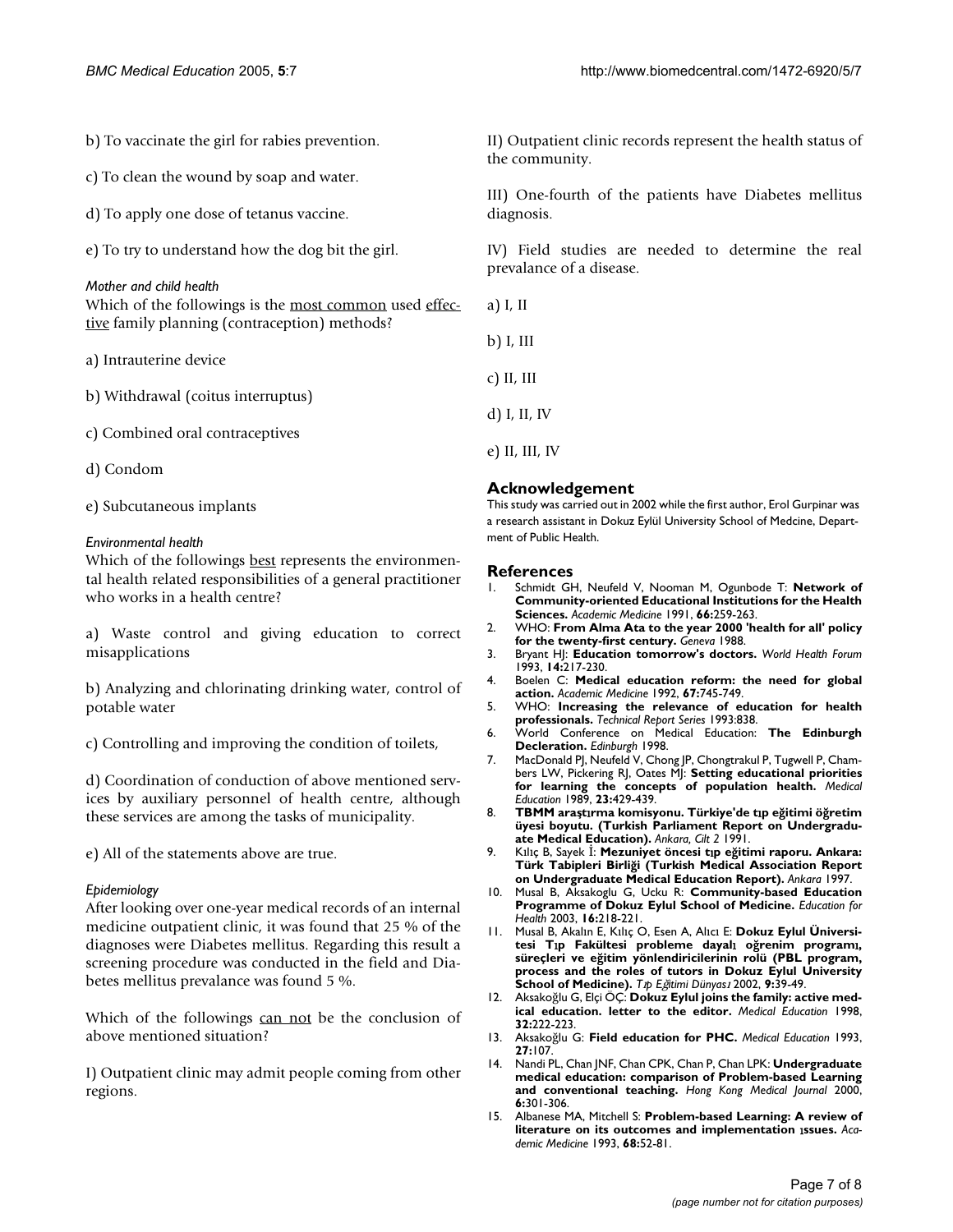- b) To vaccinate the girl for rabies prevention.
- c) To clean the wound by soap and water.
- d) To apply one dose of tetanus vaccine.
- e) To try to understand how the dog bit the girl.

*Mother and child health*

Which of the followings is the most common used effective family planning (contraception) methods?

- a) Intrauterine device
- b) Withdrawal (coitus interruptus)
- c) Combined oral contraceptives
- d) Condom
- e) Subcutaneous implants

#### *Environmental health*

Which of the followings **best** represents the environmental health related responsibilities of a general practitioner who works in a health centre?

a) Waste control and giving education to correct misapplications

b) Analyzing and chlorinating drinking water, control of potable water

c) Controlling and improving the condition of toilets,

d) Coordination of conduction of above mentioned services by auxiliary personnel of health centre, although these services are among the tasks of municipality.

e) All of the statements above are true.

#### *Epidemiology*

After looking over one-year medical records of an internal medicine outpatient clinic, it was found that 25 % of the diagnoses were Diabetes mellitus. Regarding this result a screening procedure was conducted in the field and Diabetes mellitus prevalance was found 5 %.

Which of the followings can not be the conclusion of above mentioned situation?

I) Outpatient clinic may admit people coming from other regions.

II) Outpatient clinic records represent the health status of the community.

III) One-fourth of the patients have Diabetes mellitus diagnosis.

IV) Field studies are needed to determine the real prevalance of a disease.

a) I, II

b) I, III

c) II, III

d) I, II, IV

e) II, III, IV

#### **Acknowledgement**

This study was carried out in 2002 while the first author, Erol Gurpinar was a research assistant in Dokuz Eylül University School of Medcine, Department of Public Health.

#### **References**

- 1. Schmidt GH, Neufeld V, Nooman M, Ogunbode T: **[Network of](http://www.ncbi.nlm.nih.gov/entrez/query.fcgi?cmd=Retrieve&db=PubMed&dopt=Abstract&list_uids=2025353) [Community-oriented Educational Institutions for the Health](http://www.ncbi.nlm.nih.gov/entrez/query.fcgi?cmd=Retrieve&db=PubMed&dopt=Abstract&list_uids=2025353) [Sciences.](http://www.ncbi.nlm.nih.gov/entrez/query.fcgi?cmd=Retrieve&db=PubMed&dopt=Abstract&list_uids=2025353)** *Academic Medicine* 1991, **66:**259-263.
- 2. WHO: **From Alma Ata to the year 2000 'health for all' policy for the twenty-first century.** *Geneva* 1988.
- 3. Bryant HJ: **[Education tomorrow's doctors.](http://www.ncbi.nlm.nih.gov/entrez/query.fcgi?cmd=Retrieve&db=PubMed&dopt=Abstract&list_uids=8397729)** *World Health Forum* 1993, **14:**217-230.
- 4. Boelen C: **[Medical education reform: the need for global](http://www.ncbi.nlm.nih.gov/entrez/query.fcgi?cmd=Retrieve&db=PubMed&dopt=Abstract&list_uids=1418252) [action.](http://www.ncbi.nlm.nih.gov/entrez/query.fcgi?cmd=Retrieve&db=PubMed&dopt=Abstract&list_uids=1418252)** *Academic Medicine* 1992, **67:**745-749.
- 5. WHO: **Increasing the relevance of education for health professionals.** *Technical Report Series* 1993:838.
- 6. World Conference on Medical Education: **The Edinburgh Decleration.** *Edinburgh* 1998.
- 7. MacDonald PJ, Neufeld V, Chong JP, Chongtrakul P, Tugwell P, Chambers LW, Pickering RJ, Oates MJ: **[Setting educational priorities](http://www.ncbi.nlm.nih.gov/entrez/query.fcgi?cmd=Retrieve&db=PubMed&dopt=Abstract&list_uids=2796798) [for learning the concepts of population health.](http://www.ncbi.nlm.nih.gov/entrez/query.fcgi?cmd=Retrieve&db=PubMed&dopt=Abstract&list_uids=2796798)** *Medical Education* 1989, **23:**429-439.
- 8. **TBMM aras¸t**ı**rma komisyonu. Türkiye'de t**ı**p e**ğ**itimi ö**ğ**retim üyesi boyutu. (Turkish Parliament Report on Undergraduate Medical Education).** *Ankara, Cilt 2* 1991.
- 9. Kılıç B, Sayek İ: **Mezuniyet öncesi t**ı**p e**ğ**itimi raporu. Ankara: Türk Tabipleri Birli**ğ**i (Turkish Medical Association Report on Undergraduate Medical Education Report).** *Ankara* 1997.
- 10. Musal B, Aksakoglu G, Ucku R: **[Community-based Education](http://www.ncbi.nlm.nih.gov/entrez/query.fcgi?cmd=Retrieve&db=PubMed&dopt=Abstract&list_uids=14741907) [Programme of Dokuz Eylul School of Medicine.](http://www.ncbi.nlm.nih.gov/entrez/query.fcgi?cmd=Retrieve&db=PubMed&dopt=Abstract&list_uids=14741907)** *Education for Health* 2003, **16:**218-221.
- 11. Musal B, Akalın E, Kılıç O, Esen A, Alıcı E: **Dokuz Eylul Üniversitesi T**ı**p Fakültesi probleme dayal**ı **o**ğ**renim program**ı**, süreçleri ve e**ğ**itim yönlendiricilerinin rolü (PBL program, process and the roles of tutors in Dokuz Eylul University School of Medicine).** *T*ı*p E*ğ*itimi Dünyas*ı 2002, **9:**39-49.
- 12. Aksakoğlu G, Elçi ÖÇ: **[Dokuz Eylul joins the family: active med](http://www.ncbi.nlm.nih.gov/entrez/query.fcgi?cmd=Retrieve&db=PubMed&dopt=Abstract&list_uids=9743774)[ical education. letter to the editor.](http://www.ncbi.nlm.nih.gov/entrez/query.fcgi?cmd=Retrieve&db=PubMed&dopt=Abstract&list_uids=9743774)** *Medical Education* 1998, **32:**222-223.
- 13. Aksakoğlu G: **Field education for PHC.** *Medical Education* 1993, **27:**107.
- 14. Nandi PL, Chan JNF, Chan CPK, Chan P, Chan LPK: **[Undergraduate](http://www.ncbi.nlm.nih.gov/entrez/query.fcgi?cmd=Retrieve&db=PubMed&dopt=Abstract&list_uids=11025850) [medical education: comparison of Problem-based Learning](http://www.ncbi.nlm.nih.gov/entrez/query.fcgi?cmd=Retrieve&db=PubMed&dopt=Abstract&list_uids=11025850) [and conventional teaching.](http://www.ncbi.nlm.nih.gov/entrez/query.fcgi?cmd=Retrieve&db=PubMed&dopt=Abstract&list_uids=11025850)** *Hong Kong Medical Journal* 2000, **6:**301-306.
- 15. Albanese MA, Mitchell S: **Problem-based Learning: A review of literature on its outcomes and implementation** ı**[ssues.](http://www.ncbi.nlm.nih.gov/entrez/query.fcgi?cmd=Retrieve&db=PubMed&dopt=Abstract&list_uids=8447896)** *Academic Medicine* 1993, **68:**52-81.